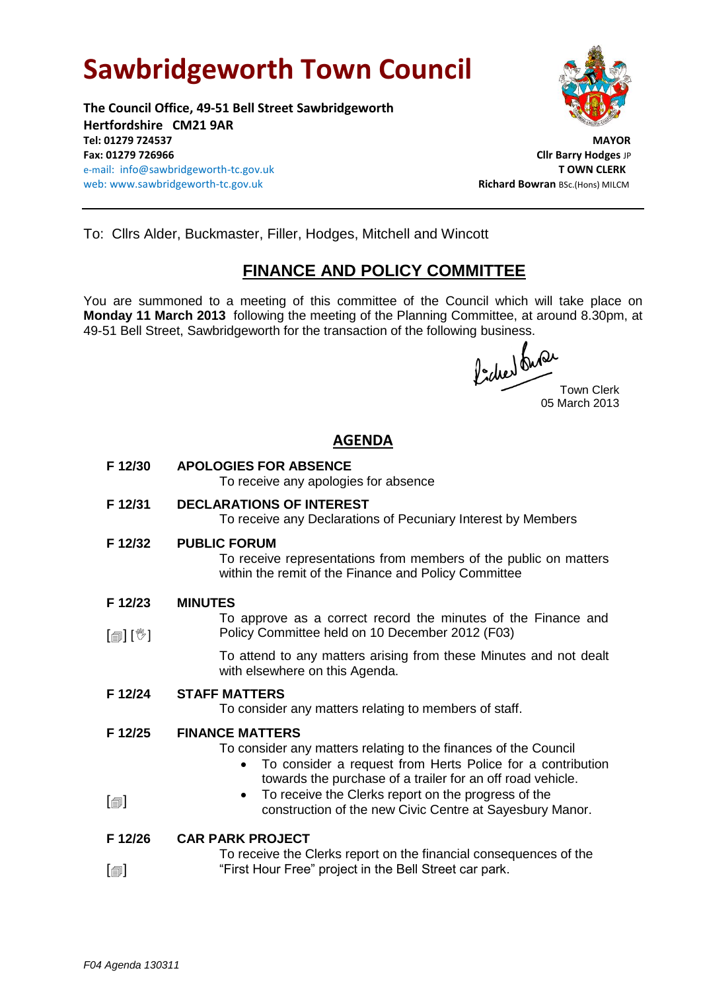# **Sawbridgeworth Town Council**

**The Council Office, 49-51 Bell Street Sawbridgeworth Hertfordshire CM21 9AR Tel: 01279 724537 MAYOR Fax: 01279 726966 Cllr Barry Hodges** JP e-mail: info@sawbridgeworth-tc.gov.uk **T OWN CLERK** web: www.sawbridgeworth-tc.gov.uk and the same and the same of the same **Richard Bowran** BSc.(Hons) MILCM



To: Cllrs Alder, Buckmaster, Filler, Hodges, Mitchell and Wincott

## **FINANCE AND POLICY COMMITTEE**

You are summoned to a meeting of this committee of the Council which will take place on **Monday 11 March 2013** following the meeting of the Planning Committee, at around 8.30pm, at 49-51 Bell Street, Sawbridgeworth for the transaction of the following business.

fided our Town Clerk

05 March 2013

### **AGENDA**

- **F 12/30 APOLOGIES FOR ABSENCE** To receive any apologies for absence
- **F 12/31 DECLARATIONS OF INTEREST**

To receive any Declarations of Pecuniary Interest by Members

**F 12/32 PUBLIC FORUM**

To receive representations from members of the public on matters within the remit of the Finance and Policy Committee

- **F 12/23 MINUTES**
- [創] [<sup>%</sup>] To approve as a correct record the minutes of the Finance and Policy Committee held on 10 December 2012 (F03)

To attend to any matters arising from these Minutes and not dealt with elsewhere on this Agenda.

**F 12/24 STAFF MATTERS**

To consider any matters relating to members of staff.

**F 12/25 FINANCE MATTERS**

To consider any matters relating to the finances of the Council

- To consider a request from Herts Police for a contribution towards the purchase of a trailer for an off road vehicle.
- $\lceil$ • To receive the Clerks report on the progress of the construction of the new Civic Centre at Sayesbury Manor.

#### **F 12/26 CAR PARK PROJECT**

|                              | To receive the Clerks report on the financial consequences of the |
|------------------------------|-------------------------------------------------------------------|
| $\lceil \circledcirc \rceil$ | "First Hour Free" project in the Bell Street car park.            |